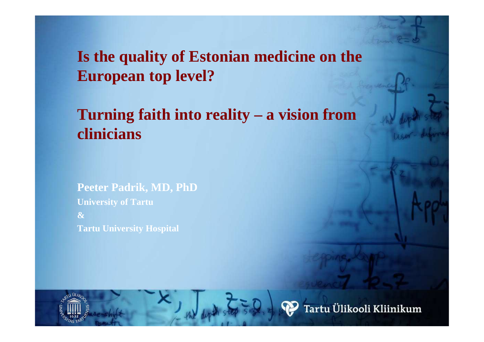**Is the quality of Estonian medicine on the European top level?**

**Turning faith into reality – a vision from clinicians**

**Peeter Padrik, MD, PhDUniversity of Tartu&Tartu University Hospital**

.<br>Tartu Ülikooli Kliinikum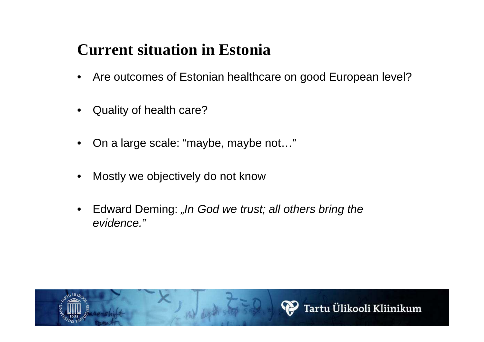### **Current situation in Estonia**

- $\bullet$ Are outcomes of Estonian healthcare on good European level?
- •Quality of health care?
- •On a large scale: "maybe, maybe not…"
- •Mostly we objectively do not know
- $\bullet$ Edward Deming: "In God we trust; all others bring the evidence."

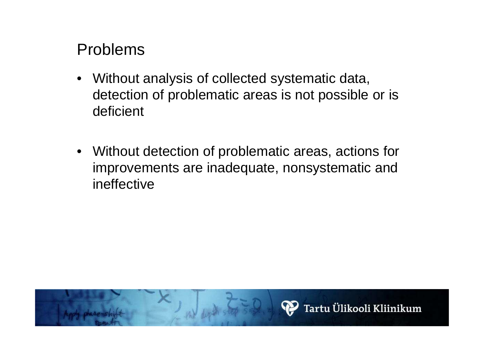### Problems

- • Without analysis of collected systematic data, detection of problematic areas is not possible or is deficient
- Without detection of problematic areas, actions for improvements are inadequate, nonsystematic and ineffective

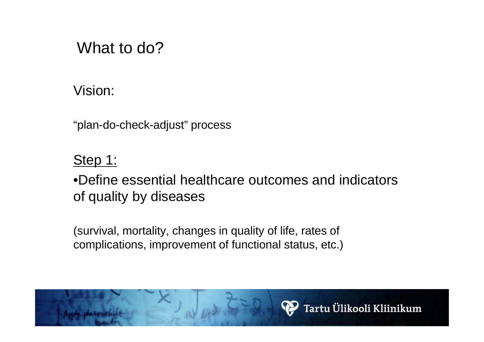## What to do?

Vision:

"plan-do-check-adjust" process

Step 1:

•Define essential healthcare outcomes and indicators of quality by diseases

(survival, mortality, changes in quality of life, rates of complications, improvement of functional status, etc.)

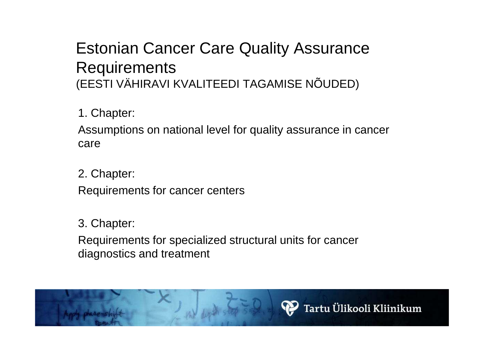### Estonian Cancer Care Quality Assurance Requirements(EESTI VÄHIRAVI KVALITEEDI TAGAMISE NÕUDED)

1. Chapter:

Assumptions on national level for quality assurance in cancer care

2. Chapter:Requirements for cancer centers

3. Chapter:

Requirements for specialized structural units for cancer diagnostics and treatment

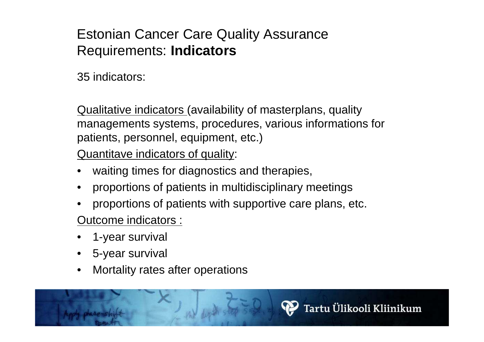#### Estonian Cancer Care Quality Assurance Requirements: **Indicators**

35 indicators:

Qualitative indicators (availability of masterplans, quality managements systems, procedures, various informations for patients, personnel, equipment, etc.)

Quantitave indicators of quality:

- •waiting times for diagnostics and therapies,
- •proportions of patients in multidisciplinary meetings
- •proportions of patients with supportive care plans, etc.

Outcome indicators :

- •1-year survival
- •5-year survival
- •Mortality rates after operations

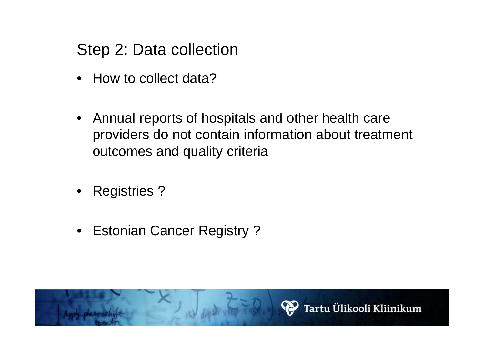Step 2: Data collection

- How to collect data?
- $\bullet$  Annual reports of hospitals and other health care providers do not contain information about treatment outcomes and quality criteria
- Registries ?
- Estonian Cancer Registry ?

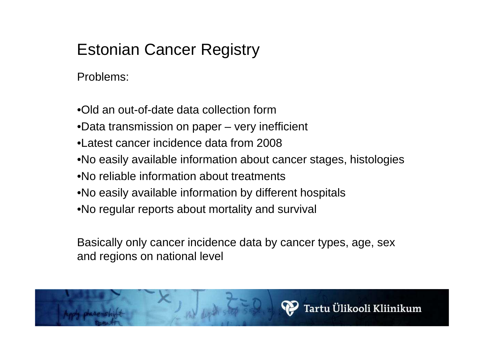# Estonian Cancer Registry

Problems:

- •Old an out-of-date data collection form
- •Data transmission on paper very inefficient
- •Latest cancer incidence data from 2008
- •No easily available information about cancer stages, histologies
- •No reliable information about treatments
- •No easily available information by different hospitals
- •No regular reports about mortality and survival

Basically only cancer incidence data by cancer types, age, sex and regions on national level

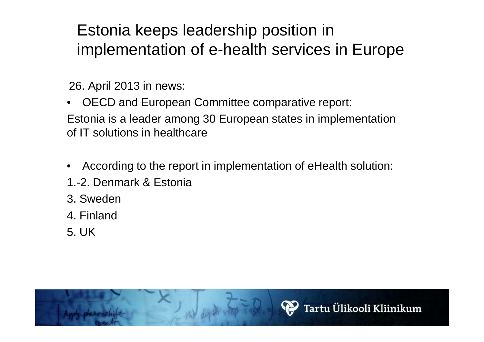# Estonia keeps leadership position in implementation of e-health services in Europe

26. April 2013 in news:

• OECD and European Committee comparative report: Estonia is a leader among 30 European states in implementation of IT solutions in healthcare

- •According to the report in implementation of eHealth solution:
- 1.-2. Denmark & Estonia
- 3. Sweden
- 4. Finland
- 5. UK

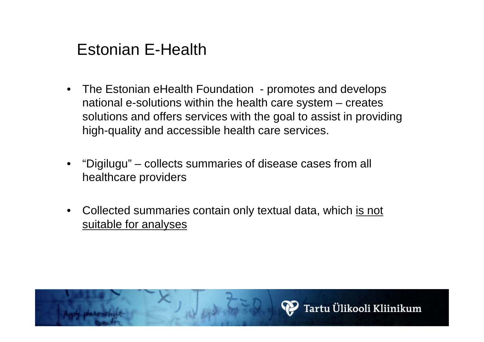## Estonian E-Health

- $\bullet$  The Estonian eHealth Foundation - promotes and develops national e-solutions within the health care system – creates solutions and offers services with the goal to assist in providing high-quality and accessible health care services.
- • "Digilugu" – collects summaries of disease cases from all healthcare providers
- •Collected summaries contain only textual data, which is not suitable for analyses

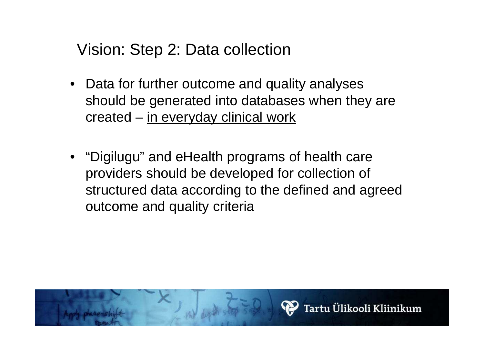Vision: Step 2: Data collection

- Data for further outcome and quality analyses should be generated into databases when they are created – in everyday clinical work
- "Digilugu" and eHealth programs of health care providers should be developed for collection of structured data according to the defined and agreed outcome and quality criteria

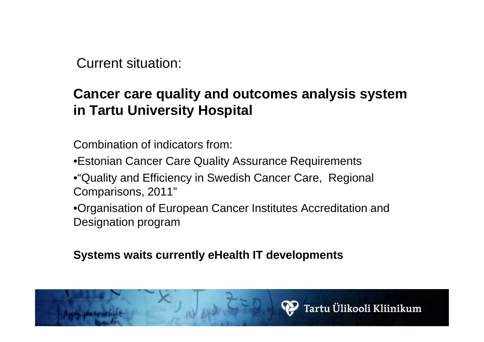Current situation:

#### **Cancer care quality and outcomes analysis system in Tartu University Hospital**

Combination of indicators from:

•Estonian Cancer Care Quality Assurance Requirements

•"Quality and Efficiency in Swedish Cancer Care, Regional Comparisons, 2011"

•Organisation of European Cancer Institutes Accreditation and Designation program

**Systems waits currently eHealth IT developments**

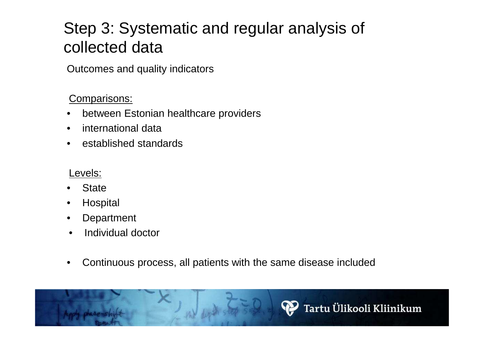# Step 3: Systematic and regular analysis of collected data

Outcomes and quality indicators

#### Comparisons:

- •between Estonian healthcare providers
- •international data
- •established standards

#### Levels:

- •**State**
- **Hospital** •
- •**Department**
- •Individual doctor
- $\bullet$ Continuous process, all patients with the same disease included

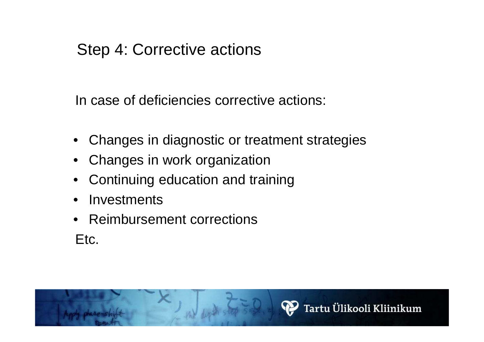### Step 4: Corrective actions

In case of deficiencies corrective actions:

- Changes in diagnostic or treatment strategies
- Changes in work organization
- •Continuing education and training
- $\bullet$ **Investments**
- Reimbursement corrections Etc.

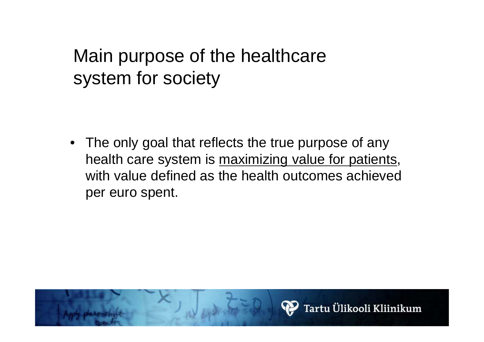# Main purpose of the healthcare system for society

• The only goal that reflects the true purpose of any health care system is maximizing value for patients, with value defined as the health outcomes achieved per euro spent.

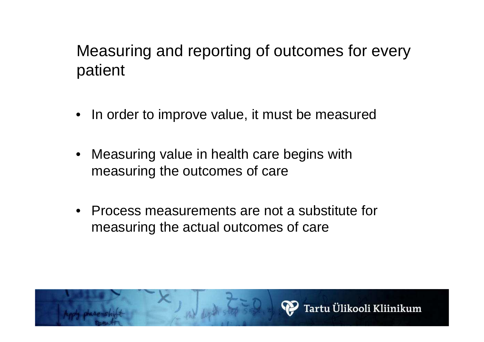# Measuring and reporting of outcomes for every patient

- $\bullet$ In order to improve value, it must be measured
- $\bullet$  Measuring value in health care begins with measuring the outcomes of care
- $\bullet$  Process measurements are not a substitute for measuring the actual outcomes of care

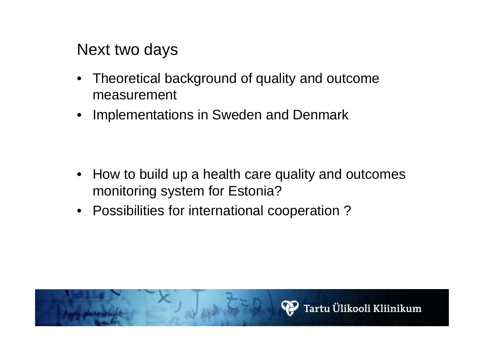Next two days

- • Theoretical background of quality and outcome measurement
- •Implementations in Sweden and Denmark

- How to build up a health care quality and outcomes monitoring system for Estonia?
- Possibilities for international cooperation ?